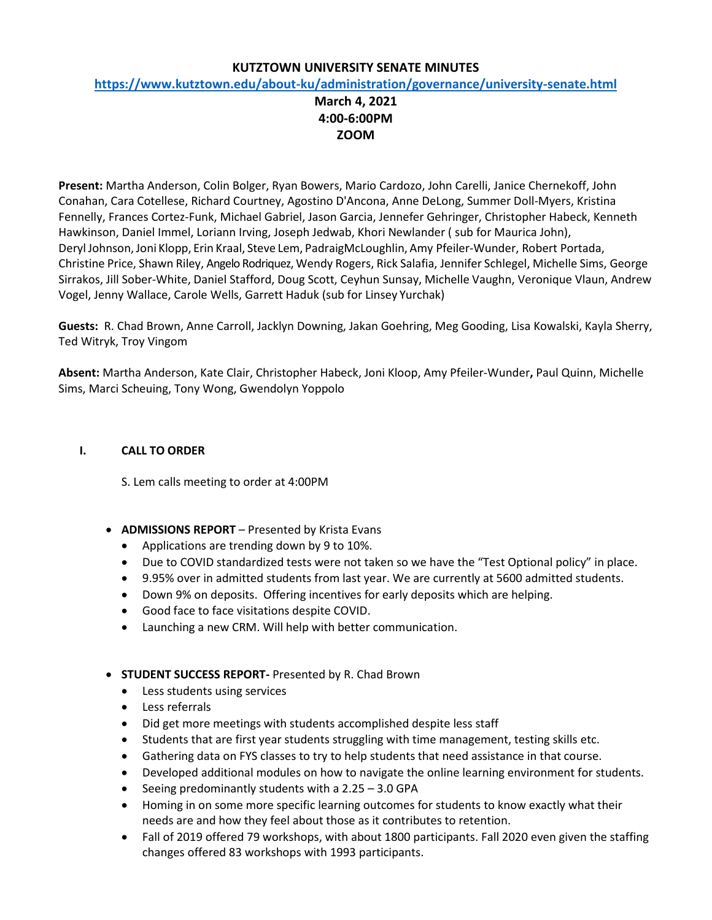#### **KUTZTOWN UNIVERSITY SENATE MINUTES**

#### **<https://www.kutztown.edu/about-ku/administration/governance/university-senate.html>**

# **March 4, 2021 4:00-6:00PM ZOOM**

**Present:** Martha Anderson, Colin Bolger, Ryan Bowers, Mario Cardozo, John Carelli, Janice Chernekoff, John Conahan, Cara Cotellese, Richard Courtney, Agostino D'Ancona, Anne DeLong, Summer Doll-Myers, Kristina Fennelly, Frances Cortez-Funk, Michael Gabriel, Jason Garcia, Jennefer Gehringer, Christopher Habeck, Kenneth Hawkinson, Daniel Immel, Loriann Irving, Joseph Jedwab, Khori Newlander ( sub for Maurica John), Deryl Johnson,Joni Klopp, Erin Kraal, Steve Lem, PadraigMcLoughlin, Amy Pfeiler-Wunder, Robert Portada, Christine Price, Shawn Riley, Angelo Rodriquez, Wendy Rogers, Rick Salafia, Jennifer Schlegel, Michelle Sims, George Sirrakos, Jill Sober-White, Daniel Stafford, Doug Scott, Ceyhun Sunsay, Michelle Vaughn, Veronique Vlaun, Andrew Vogel, Jenny Wallace, Carole Wells, Garrett Haduk (sub for Linsey Yurchak)

**Guests:** R. Chad Brown, Anne Carroll, Jacklyn Downing, Jakan Goehring, Meg Gooding, Lisa Kowalski, Kayla Sherry, Ted Witryk, Troy Vingom

**Absent:** Martha Anderson, Kate Clair, Christopher Habeck, Joni Kloop, Amy Pfeiler-Wunder**,** Paul Quinn, Michelle Sims, Marci Scheuing, Tony Wong, Gwendolyn Yoppolo

#### **I. CALL TO ORDER**

S. Lem calls meeting to order at 4:00PM

- **ADMISSIONS REPORT** Presented by Krista Evans
	- Applications are trending down by 9 to 10%.
	- Due to COVID standardized tests were not taken so we have the "Test Optional policy" in place.
	- 9.95% over in admitted students from last year. We are currently at 5600 admitted students.
	- Down 9% on deposits. Offering incentives for early deposits which are helping.
	- Good face to face visitations despite COVID.
	- Launching a new CRM. Will help with better communication.
- **STUDENT SUCCESS REPORT-** Presented by R. Chad Brown
	- Less students using services
	- Less referrals
	- Did get more meetings with students accomplished despite less staff
	- Students that are first year students struggling with time management, testing skills etc.
	- Gathering data on FYS classes to try to help students that need assistance in that course.
	- Developed additional modules on how to navigate the online learning environment for students.
	- Seeing predominantly students with a  $2.25 3.0$  GPA
	- Homing in on some more specific learning outcomes for students to know exactly what their needs are and how they feel about those as it contributes to retention.
	- Fall of 2019 offered 79 workshops, with about 1800 participants. Fall 2020 even given the staffing changes offered 83 workshops with 1993 participants.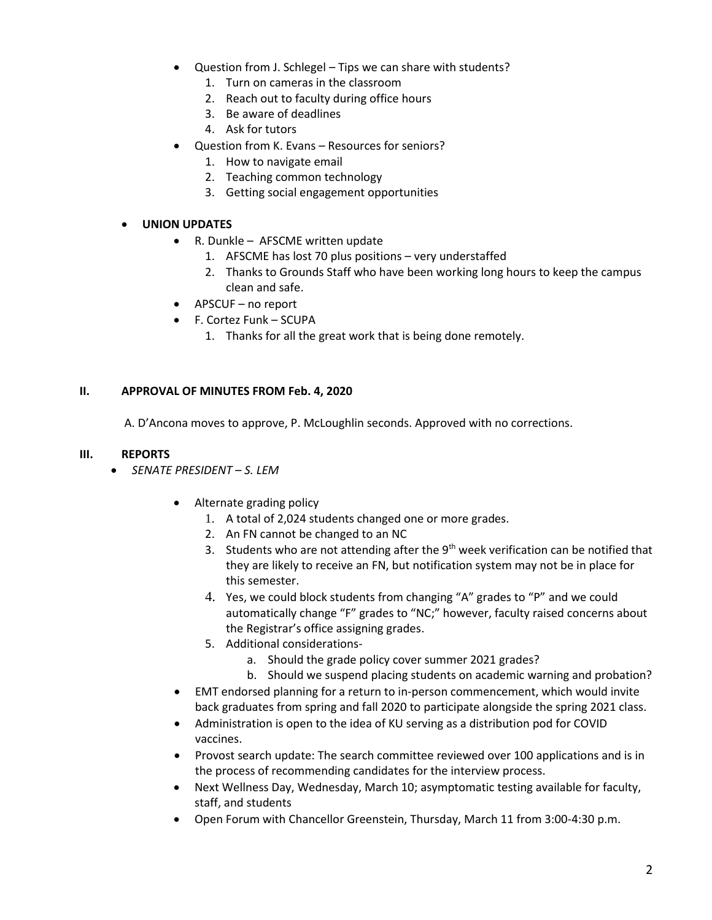- Question from J. Schlegel Tips we can share with students?
	- 1. Turn on cameras in the classroom
	- 2. Reach out to faculty during office hours
	- 3. Be aware of deadlines
	- 4. Ask for tutors
- Question from K. Evans Resources for seniors?
	- 1. How to navigate email
	- 2. Teaching common technology
	- 3. Getting social engagement opportunities

#### • **UNION UPDATES**

- R. Dunkle AFSCME written update
	- 1. AFSCME has lost 70 plus positions very understaffed
	- 2. Thanks to Grounds Staff who have been working long hours to keep the campus clean and safe.
- APSCUF no report
- F. Cortez Funk SCUPA
	- 1. Thanks for all the great work that is being done remotely.

#### **II. APPROVAL OF MINUTES FROM Feb. 4, 2020**

A. D'Ancona moves to approve, P. McLoughlin seconds. Approved with no corrections.

#### **III. REPORTS**

- *SENATE PRESIDENT – S. LEM*
	- Alternate grading policy
		- 1. A total of 2,024 students changed one or more grades.
		- 2. An FN cannot be changed to an NC
		- 3. Students who are not attending after the  $9<sup>th</sup>$  week verification can be notified that they are likely to receive an FN, but notification system may not be in place for this semester.
		- 4. Yes, we could block students from changing "A" grades to "P" and we could automatically change "F" grades to "NC;" however, faculty raised concerns about the Registrar's office assigning grades.
		- 5. Additional considerations
			- a. Should the grade policy cover summer 2021 grades?
			- b. Should we suspend placing students on academic warning and probation?
	- EMT endorsed planning for a return to in-person commencement, which would invite back graduates from spring and fall 2020 to participate alongside the spring 2021 class.
	- Administration is open to the idea of KU serving as a distribution pod for COVID vaccines.
	- Provost search update: The search committee reviewed over 100 applications and is in the process of recommending candidates for the interview process.
	- Next Wellness Day, Wednesday, March 10; asymptomatic testing available for faculty, staff, and students
	- Open Forum with Chancellor Greenstein, Thursday, March 11 from 3:00-4:30 p.m.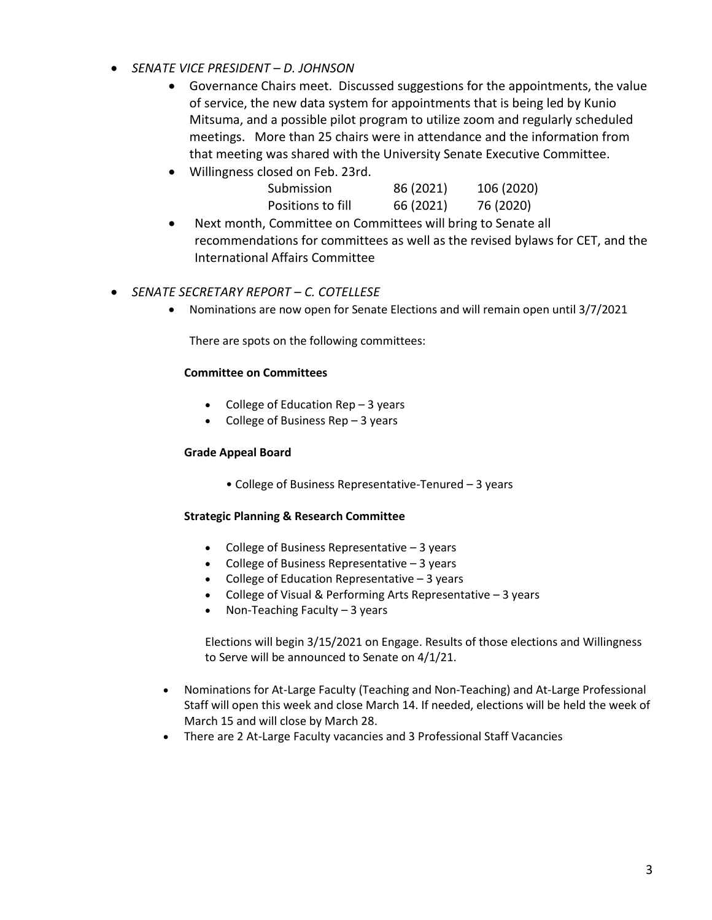- *SENATE VICE PRESIDENT – D. JOHNSON*
	- Governance Chairs meet. Discussed suggestions for the appointments, the value of service, the new data system for appointments that is being led by Kunio Mitsuma, and a possible pilot program to utilize zoom and regularly scheduled meetings. More than 25 chairs were in attendance and the information from that meeting was shared with the University Senate Executive Committee.
	- Willingness closed on Feb. 23rd.

| Submission        | 86 (2021) | 106 (2020) |
|-------------------|-----------|------------|
| Positions to fill | 66 (2021) | 76 (2020)  |

• Next month, Committee on Committees will bring to Senate all recommendations for committees as well as the revised bylaws for CET, and the International Affairs Committee

# • *SENATE SECRETARY REPORT – C. COTELLESE*

• Nominations are now open for Senate Elections and will remain open until 3/7/2021

There are spots on the following committees:

#### **Committee on Committees**

- College of Education Rep 3 years
- College of Business Rep  $-3$  years

#### **Grade Appeal Board**

• College of Business Representative-Tenured – 3 years

#### **Strategic Planning & Research Committee**

- College of Business Representative 3 years
- College of Business Representative 3 years
- College of Education Representative 3 years
- College of Visual & Performing Arts Representative 3 years
- Non-Teaching Faculty 3 years

Elections will begin 3/15/2021 on Engage. Results of those elections and Willingness to Serve will be announced to Senate on 4/1/21.

- Nominations for At-Large Faculty (Teaching and Non-Teaching) and At-Large Professional Staff will open this week and close March 14. If needed, elections will be held the week of March 15 and will close by March 28.
- There are 2 At-Large Faculty vacancies and 3 Professional Staff Vacancies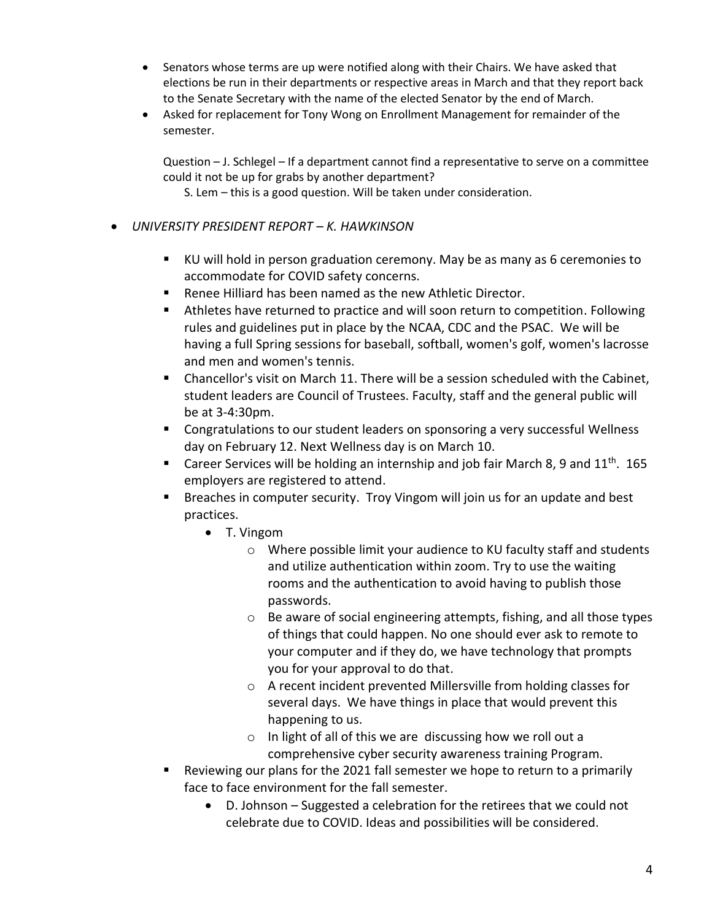- Senators whose terms are up were notified along with their Chairs. We have asked that elections be run in their departments or respective areas in March and that they report back to the Senate Secretary with the name of the elected Senator by the end of March.
- Asked for replacement for Tony Wong on Enrollment Management for remainder of the semester.

Question – J. Schlegel – If a department cannot find a representative to serve on a committee could it not be up for grabs by another department?

S. Lem – this is a good question. Will be taken under consideration.

- *UNIVERSITY PRESIDENT REPORT – K. HAWKINSON*
	- KU will hold in person graduation ceremony. May be as many as 6 ceremonies to accommodate for COVID safety concerns.
	- Renee Hilliard has been named as the new Athletic Director.
	- Athletes have returned to practice and will soon return to competition. Following rules and guidelines put in place by the NCAA, CDC and the PSAC. We will be having a full Spring sessions for baseball, softball, women's golf, women's lacrosse and men and women's tennis.
	- Chancellor's visit on March 11. There will be a session scheduled with the Cabinet, student leaders are Council of Trustees. Faculty, staff and the general public will be at 3-4:30pm.
	- Congratulations to our student leaders on sponsoring a very successful Wellness day on February 12. Next Wellness day is on March 10.
	- **E** Career Services will be holding an internship and job fair March 8, 9 and  $11<sup>th</sup>$ . 165 employers are registered to attend.
	- Breaches in computer security. Troy Vingom will join us for an update and best practices.
		- T. Vingom
			- o Where possible limit your audience to KU faculty staff and students and utilize authentication within zoom. Try to use the waiting rooms and the authentication to avoid having to publish those passwords.
			- o Be aware of social engineering attempts, fishing, and all those types of things that could happen. No one should ever ask to remote to your computer and if they do, we have technology that prompts you for your approval to do that.
			- o A recent incident prevented Millersville from holding classes for several days. We have things in place that would prevent this happening to us.
			- o In light of all of this we are discussing how we roll out a comprehensive cyber security awareness training Program.
	- Reviewing our plans for the 2021 fall semester we hope to return to a primarily face to face environment for the fall semester.
		- D. Johnson Suggested a celebration for the retirees that we could not celebrate due to COVID. Ideas and possibilities will be considered.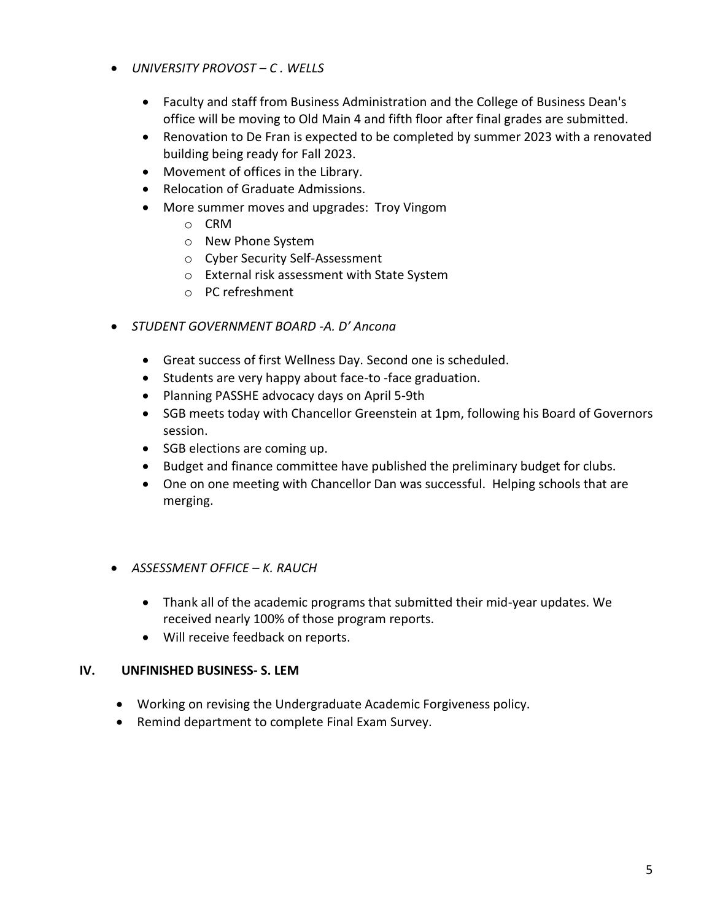- *UNIVERSITY PROVOST – C . WELLS*
	- Faculty and staff from Business Administration and the College of Business Dean's office will be moving to Old Main 4 and fifth floor after final grades are submitted.
	- Renovation to De Fran is expected to be completed by summer 2023 with a renovated building being ready for Fall 2023.
	- Movement of offices in the Library.
	- Relocation of Graduate Admissions.
	- More summer moves and upgrades: Troy Vingom
		- o CRM
		- o New Phone System
		- o Cyber Security Self-Assessment
		- o External risk assessment with State System
		- o PC refreshment
- *STUDENT GOVERNMENT BOARD -A. D' Ancona*
	- Great success of first Wellness Day. Second one is scheduled.
	- Students are very happy about face-to -face graduation.
	- Planning PASSHE advocacy days on April 5-9th
	- SGB meets today with Chancellor Greenstein at 1pm, following his Board of Governors session.
	- SGB elections are coming up.
	- Budget and finance committee have published the preliminary budget for clubs.
	- One on one meeting with Chancellor Dan was successful. Helping schools that are merging.
- *ASSESSMENT OFFICE – K. RAUCH*
	- Thank all of the academic programs that submitted their mid-year updates. We received nearly 100% of those program reports.
	- Will receive feedback on reports.

# **IV. UNFINISHED BUSINESS- S. LEM**

- Working on revising the Undergraduate Academic Forgiveness policy.
- Remind department to complete Final Exam Survey.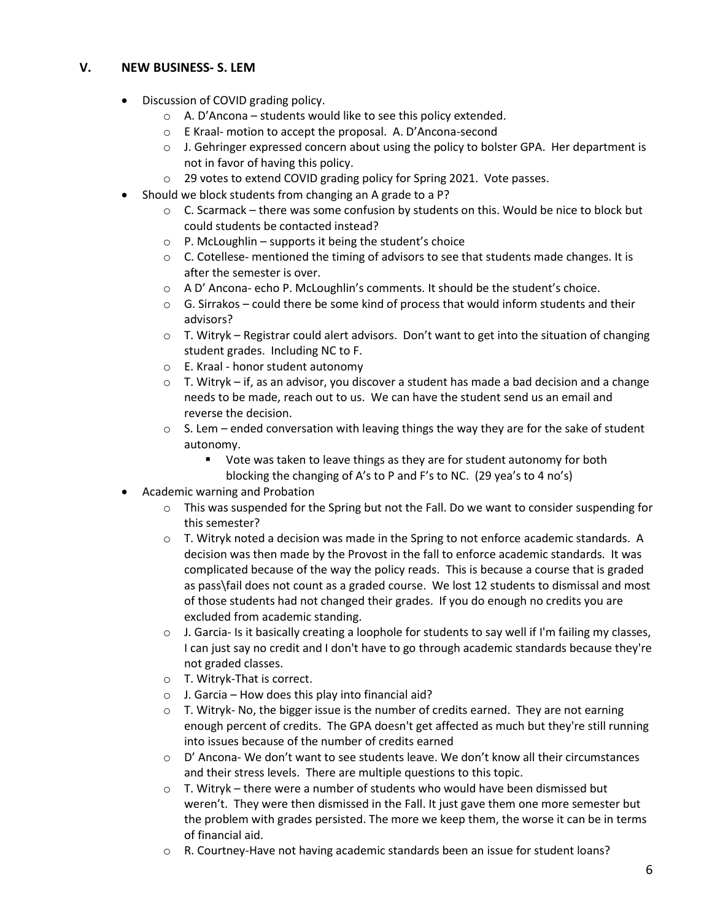# **V. NEW BUSINESS- S. LEM**

- Discussion of COVID grading policy.
	- $\circ$  A. D'Ancona students would like to see this policy extended.
	- o E Kraal- motion to accept the proposal. A. D'Ancona-second
	- $\circ$  J. Gehringer expressed concern about using the policy to bolster GPA. Her department is not in favor of having this policy.
	- o 29 votes to extend COVID grading policy for Spring 2021. Vote passes.
- Should we block students from changing an A grade to a P?
	- $\circ$  C. Scarmack there was some confusion by students on this. Would be nice to block but could students be contacted instead?
	- $\circ$  P. McLoughlin supports it being the student's choice
	- $\circ$  C. Cotellese- mentioned the timing of advisors to see that students made changes. It is after the semester is over.
	- $\circ$  A D' Ancona- echo P. McLoughlin's comments. It should be the student's choice.
	- $\circ$  G. Sirrakos could there be some kind of process that would inform students and their advisors?
	- $\circ$  T. Witryk Registrar could alert advisors. Don't want to get into the situation of changing student grades. Including NC to F.
	- o E. Kraal honor student autonomy
	- o T. Witryk if, as an advisor, you discover a student has made a bad decision and a change needs to be made, reach out to us. We can have the student send us an email and reverse the decision.
	- $\circ$  S. Lem ended conversation with leaving things the way they are for the sake of student autonomy.
		- Vote was taken to leave things as they are for student autonomy for both blocking the changing of A's to P and F's to NC. (29 yea's to 4 no's)
- Academic warning and Probation
	- $\circ$  This was suspended for the Spring but not the Fall. Do we want to consider suspending for this semester?
	- $\circ$  T. Witryk noted a decision was made in the Spring to not enforce academic standards. A decision was then made by the Provost in the fall to enforce academic standards. It was complicated because of the way the policy reads. This is because a course that is graded as pass\fail does not count as a graded course. We lost 12 students to dismissal and most of those students had not changed their grades. If you do enough no credits you are excluded from academic standing.
	- $\circ$  J. Garcia- Is it basically creating a loophole for students to say well if I'm failing my classes, I can just say no credit and I don't have to go through academic standards because they're not graded classes.
	- o T. Witryk-That is correct.
	- $\circ$  J. Garcia How does this play into financial aid?
	- $\circ$  T. Witryk- No, the bigger issue is the number of credits earned. They are not earning enough percent of credits. The GPA doesn't get affected as much but they're still running into issues because of the number of credits earned
	- $\circ$  D' Ancona- We don't want to see students leave. We don't know all their circumstances and their stress levels. There are multiple questions to this topic.
	- $\circ$  T. Witryk there were a number of students who would have been dismissed but weren't. They were then dismissed in the Fall. It just gave them one more semester but the problem with grades persisted. The more we keep them, the worse it can be in terms of financial aid.
	- $\circ$  R. Courtney-Have not having academic standards been an issue for student loans?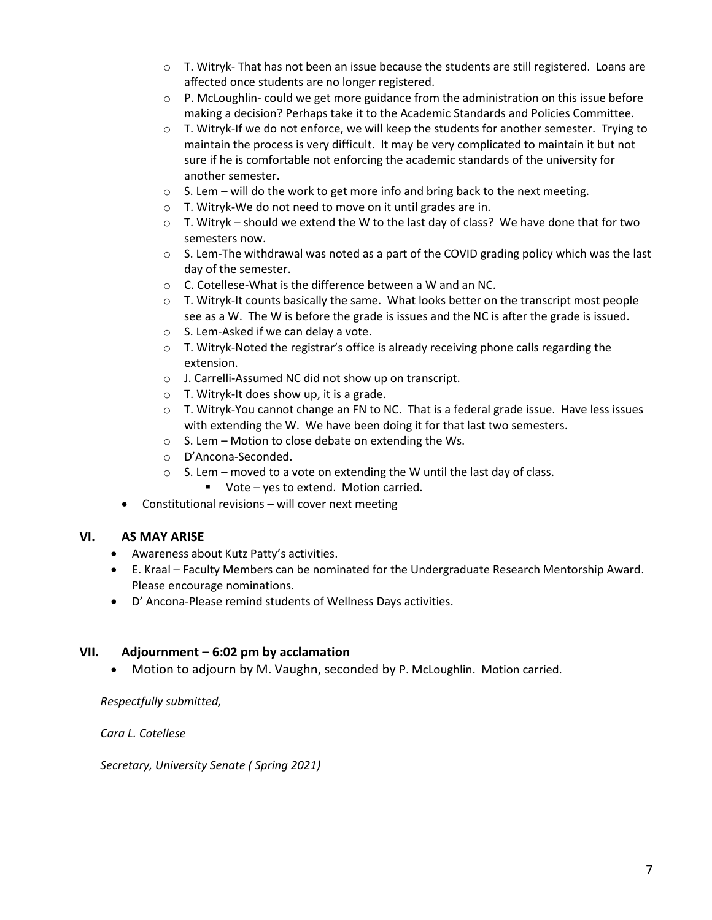- $\circ$  T. Witryk- That has not been an issue because the students are still registered. Loans are affected once students are no longer registered.
- $\circ$  P. McLoughlin- could we get more guidance from the administration on this issue before making a decision? Perhaps take it to the Academic Standards and Policies Committee.
- $\circ$  T. Witryk-If we do not enforce, we will keep the students for another semester. Trying to maintain the process is very difficult. It may be very complicated to maintain it but not sure if he is comfortable not enforcing the academic standards of the university for another semester.
- o S. Lem will do the work to get more info and bring back to the next meeting.
- o T. Witryk-We do not need to move on it until grades are in.
- $\circ$  T. Witryk should we extend the W to the last day of class? We have done that for two semesters now.
- $\circ$  S. Lem-The withdrawal was noted as a part of the COVID grading policy which was the last day of the semester.
- o C. Cotellese-What is the difference between a W and an NC.
- $\circ$  T. Witryk-It counts basically the same. What looks better on the transcript most people see as a W. The W is before the grade is issues and the NC is after the grade is issued.
- o S. Lem-Asked if we can delay a vote.
- $\circ$  T. Witryk-Noted the registrar's office is already receiving phone calls regarding the extension.
- o J. Carrelli-Assumed NC did not show up on transcript.
- $\circ$  T. Witryk-It does show up, it is a grade.
- $\circ$  T. Witryk-You cannot change an FN to NC. That is a federal grade issue. Have less issues with extending the W. We have been doing it for that last two semesters.
- o S. Lem Motion to close debate on extending the Ws.
- o D'Ancona-Seconded.
- $\circ$  S. Lem moved to a vote on extending the W until the last day of class.
	- Vote yes to extend. Motion carried.
- Constitutional revisions will cover next meeting

# **VI. AS MAY ARISE**

- Awareness about Kutz Patty's activities.
- E. Kraal Faculty Members can be nominated for the Undergraduate Research Mentorship Award. Please encourage nominations.
- D' Ancona-Please remind students of Wellness Days activities.

# **VII. Adjournment – 6:02 pm by acclamation**

• Motion to adjourn by M. Vaughn, seconded by P. McLoughlin. Motion carried.

*Respectfully submitted,* 

*Cara L. Cotellese*

*Secretary, University Senate ( Spring 2021)*